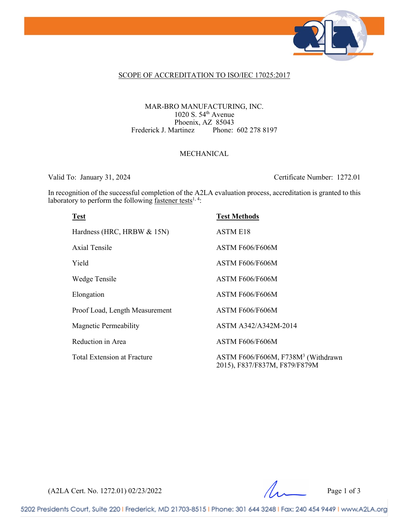

### SCOPE OF ACCREDITATION TO ISO/IEC 17025:2017

#### MAR-BRO MANUFACTURING, INC. 1020 S. 54th Avenue Phoenix, AZ 85043<br>[artinez Phone: 602 278 8197] Frederick J. Martinez

### MECHANICAL

Valid To: January 31, 2024 Certificate Number: 1272.01

In recognition of the successful completion of the A2LA evaluation process, accreditation is granted to this laboratory to perform the following  $\frac{f_{\text{aster}}}{f_{\text{other}}}$ 

| <b>Test</b>                        | <b>Test Methods</b>                                                             |
|------------------------------------|---------------------------------------------------------------------------------|
| Hardness (HRC, HRBW & 15N)         | <b>ASTM E18</b>                                                                 |
| Axial Tensile                      | ASTM F606/F606M                                                                 |
| Yield                              | ASTM F606/F606M                                                                 |
| Wedge Tensile                      | ASTM F606/F606M                                                                 |
| Elongation                         | ASTM F606/F606M                                                                 |
| Proof Load, Length Measurement     | ASTM F606/F606M                                                                 |
| <b>Magnetic Permeability</b>       | ASTM A342/A342M-2014                                                            |
| Reduction in Area                  | ASTM F606/F606M                                                                 |
| <b>Total Extension at Fracture</b> | ASTM F606/F606M, F738M <sup>3</sup> (Withdrawn<br>2015), F837/F837M, F879/F879M |

 $(A2LA$  Cert. No. 1272.01) 02/23/2022 Page 1 of 3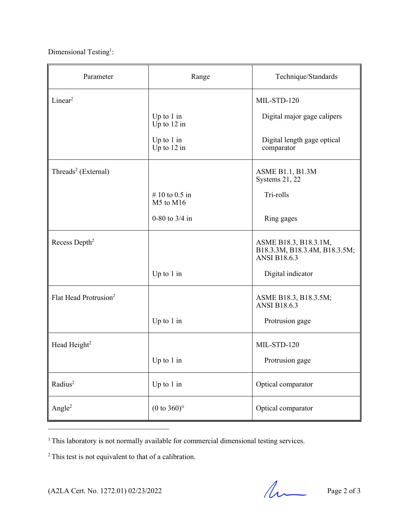Dimensional Testing<sup>1</sup>:

| Parameter                         | Range                         | Technique/Standards                                                           |
|-----------------------------------|-------------------------------|-------------------------------------------------------------------------------|
| Linear <sup>2</sup>               |                               | MIL-STD-120                                                                   |
|                                   | Up to $1$ in<br>Up to $12$ in | Digital major gage calipers                                                   |
|                                   | Up to $1$ in<br>Up to $12$ in | Digital length gage optical<br>comparator                                     |
| Threads <sup>2</sup> (External)   |                               | ASME B1.1, B1.3M<br>Systems 21, 22                                            |
|                                   | # 10 to 0.5 in<br>M5 to M16   | Tri-rolls                                                                     |
|                                   | 0-80 to $3/4$ in              | Ring gages                                                                    |
| Recess Depth <sup>2</sup>         |                               | ASME B18.3, B18.3.1M,<br>B18.3.3M, B18.3.4M, B18.3.5M;<br><b>ANSI B18.6.3</b> |
|                                   | Up to $1$ in                  | Digital indicator                                                             |
| Flat Head Protrusion <sup>2</sup> |                               | ASME B18.3, B18.3.5M;<br><b>ANSI B18.6.3</b>                                  |
|                                   | Up to $1$ in                  | Protrusion gage                                                               |
| Head Height <sup>2</sup>          |                               | MIL-STD-120                                                                   |
|                                   | Up to 1 in                    | Protrusion gage                                                               |
| Radius <sup>2</sup>               | Up to 1 in                    | Optical comparator                                                            |
| Angle <sup>2</sup>                | $(0 \text{ to } 360)$ °       | Optical comparator                                                            |

<sup>1</sup> This laboratory is not normally available for commercial dimensional testing services.

<sup>2</sup> This test is not equivalent to that of a calibration.

 $\mathcal{L}_\text{max}$  , where  $\mathcal{L}_\text{max}$  , we have the set of the set of the set of the set of the set of the set of the set of the set of the set of the set of the set of the set of the set of the set of the set of the set of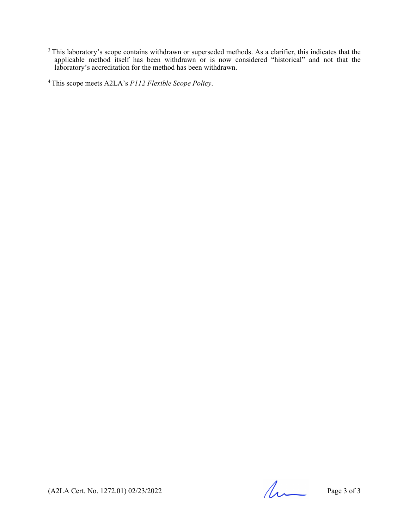$3$  This laboratory's scope contains withdrawn or superseded methods. As a clarifier, this indicates that the applicable method itself has been withdrawn or is now considered "historical" and not that the laboratory's accreditation for the method has been withdrawn.

4 This scope meets A2LA's *P112 Flexible Scope Policy*.

 $(A2LA$  Cert. No. 1272.01) 02/23/2022 Page 3 of 3